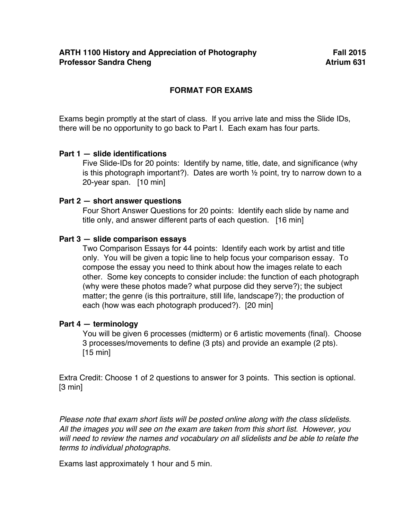# **FORMAT FOR EXAMS**

Exams begin promptly at the start of class. If you arrive late and miss the Slide IDs, there will be no opportunity to go back to Part I. Each exam has four parts.

## **Part 1 — slide identifications**

Five Slide-IDs for 20 points: Identify by name, title, date, and significance (why is this photograph important?). Dates are worth ½ point, try to narrow down to a 20-year span. [10 min]

## **Part 2 — short answer questions**

Four Short Answer Questions for 20 points: Identify each slide by name and title only, and answer different parts of each question. [16 min]

# **Part 3 — slide comparison essays**

Two Comparison Essays for 44 points: Identify each work by artist and title only. You will be given a topic line to help focus your comparison essay. To compose the essay you need to think about how the images relate to each other. Some key concepts to consider include: the function of each photograph (why were these photos made? what purpose did they serve?); the subject matter; the genre (is this portraiture, still life, landscape?); the production of each (how was each photograph produced?). [20 min]

## **Part 4 — terminology**

You will be given 6 processes (midterm) or 6 artistic movements (final). Choose 3 processes/movements to define (3 pts) and provide an example (2 pts). [15 min]

Extra Credit: Choose 1 of 2 questions to answer for 3 points. This section is optional. [3 min]

*Please note that exam short lists will be posted online along with the class slidelists. All the images you will see on the exam are taken from this short list. However, you will need to review the names and vocabulary on all slidelists and be able to relate the terms to individual photographs.* 

Exams last approximately 1 hour and 5 min.